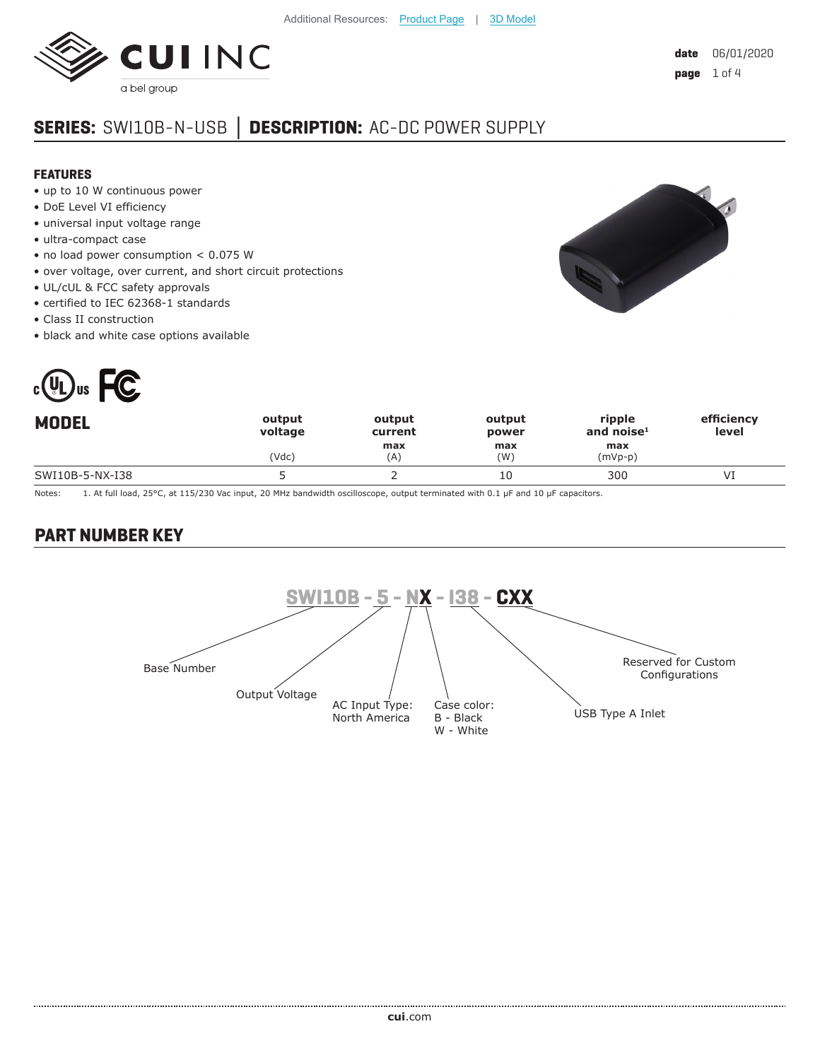

# **SERIES:** SWI10B-N-USB **│ DESCRIPTION:** AC-DC POWER SUPPLY

#### **FEATURES**

- up to 10 W continuous power
- DoE Level VI efficiency
- universal input voltage range
- ultra-compact case
- no load power consumption < 0.075 W
- over voltage, over current, and short circuit protections
- UL/cUL & FCC safety approvals
- certified to IEC 62368-1 standards
- Class II construction
- black and white case options available



| N<br>$\overline{\phantom{a}}$ |
|-------------------------------|
|                               |
|                               |

| <b>MODEL</b>    | output<br>voltage | output<br>current | output<br>power | ripple<br>and noise <sup>1</sup> | efficiency<br>level |
|-----------------|-------------------|-------------------|-----------------|----------------------------------|---------------------|
|                 | (Vdc)             | max<br>(A)        | max<br>(W)      | max<br>$(mVp-p)$                 |                     |
| SWI10B-5-NX-I38 |                   |                   | 10              | 300                              |                     |

Notes: 1. At full load, 25°C, at 115/230 Vac input, 20 MHz bandwidth oscilloscope, output terminated with 0.1 µF and 10 µF capacitors.

## **PART NUMBER KEY**

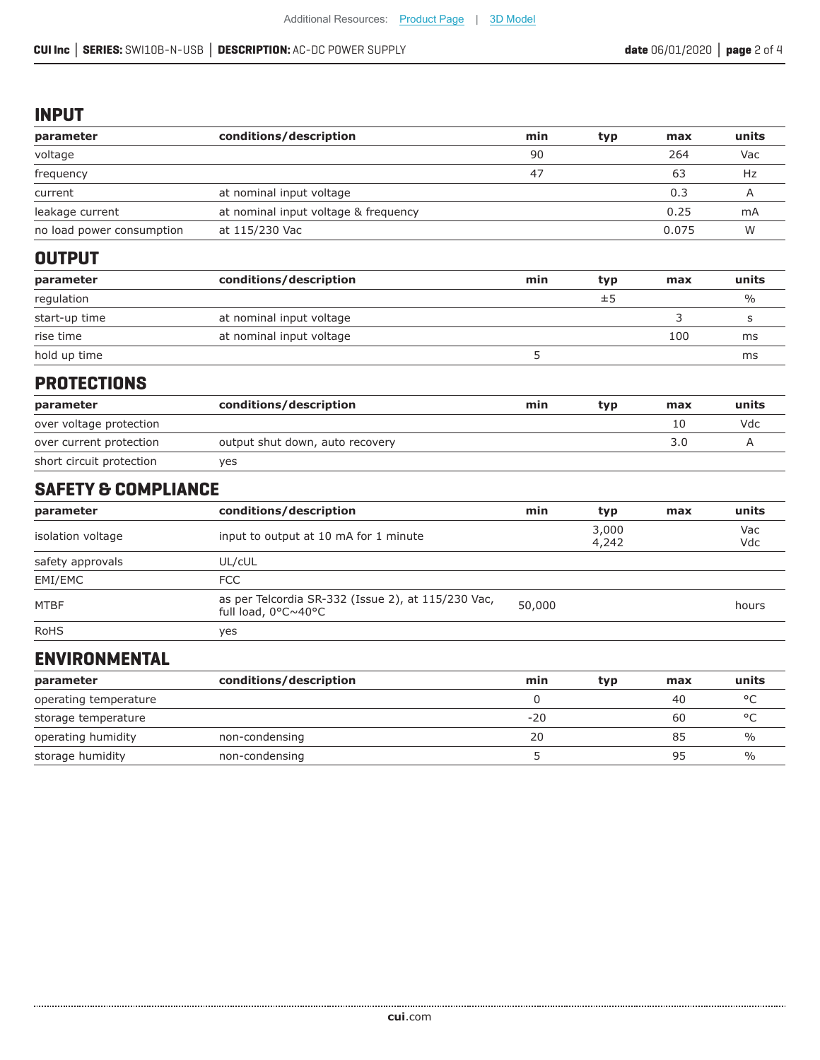As per Telcordia SR-332 (Issue 2), at 115/230 Vac,

RoHS yes

**ENVIRONMENTAL**

..................

#### **INPUT**

| parameter                      | conditions/description                | min | typ            | max   | units         |
|--------------------------------|---------------------------------------|-----|----------------|-------|---------------|
| voltage                        |                                       | 90  |                | 264   | Vac           |
| frequency                      |                                       | 47  |                | 63    | Hz            |
| current                        | at nominal input voltage              |     |                | 0.3   | A             |
| leakage current                | at nominal input voltage & frequency  |     |                | 0.25  | mA            |
| no load power consumption      | at 115/230 Vac                        |     |                | 0.075 | W             |
| <b>OUTPUT</b>                  |                                       |     |                |       |               |
| parameter                      | conditions/description                | min | typ            | max   | units         |
| regulation                     |                                       |     | ±5             |       | $\frac{0}{0}$ |
| start-up time                  | at nominal input voltage              |     |                | 3     | S             |
| rise time                      | at nominal input voltage              |     |                | 100   | ms            |
| hold up time                   |                                       | 5   |                |       | ms            |
| <b>PROTECTIONS</b>             |                                       |     |                |       |               |
| parameter                      | conditions/description                | min | typ            | max   | units         |
| over voltage protection        |                                       |     |                | 10    | Vdc           |
| over current protection        | output shut down, auto recovery       |     |                | 3.0   | A             |
| short circuit protection       | yes                                   |     |                |       |               |
| <b>SAFETY &amp; COMPLIANCE</b> |                                       |     |                |       |               |
| parameter                      | conditions/description                | min | typ            | max   | units         |
| isolation voltage              | input to output at 10 mA for 1 minute |     | 3,000<br>4,242 |       | Vac<br>Vdc    |
| safety approvals               | UL/cUL                                |     |                |       |               |
| EMI/EMC                        | <b>FCC</b>                            |     |                |       |               |

**parameter conditions/description min typ max units** operating temperature  $\degree$ C storage temperature and the storage temperature and the storage temperature  $\sim$  60  $\sim$   $\degree$ C operating humidity non-condensing 20 85 % storage humidity on the non-condensing the storage of the storage humidity of the non-condensing the storage of  $\frac{95}{2}$  and  $\frac{95}{2}$  and  $\frac{95}{2}$  and  $\frac{95}{2}$  and  $\frac{95}{2}$  and  $\frac{95}{2}$  and  $\frac{95}{2}$  and  $\frac{9$ 

as per leicordia SR-332 (Issue 2), at 115/230 Vac, 50,000<br>full load, 0°C~40°C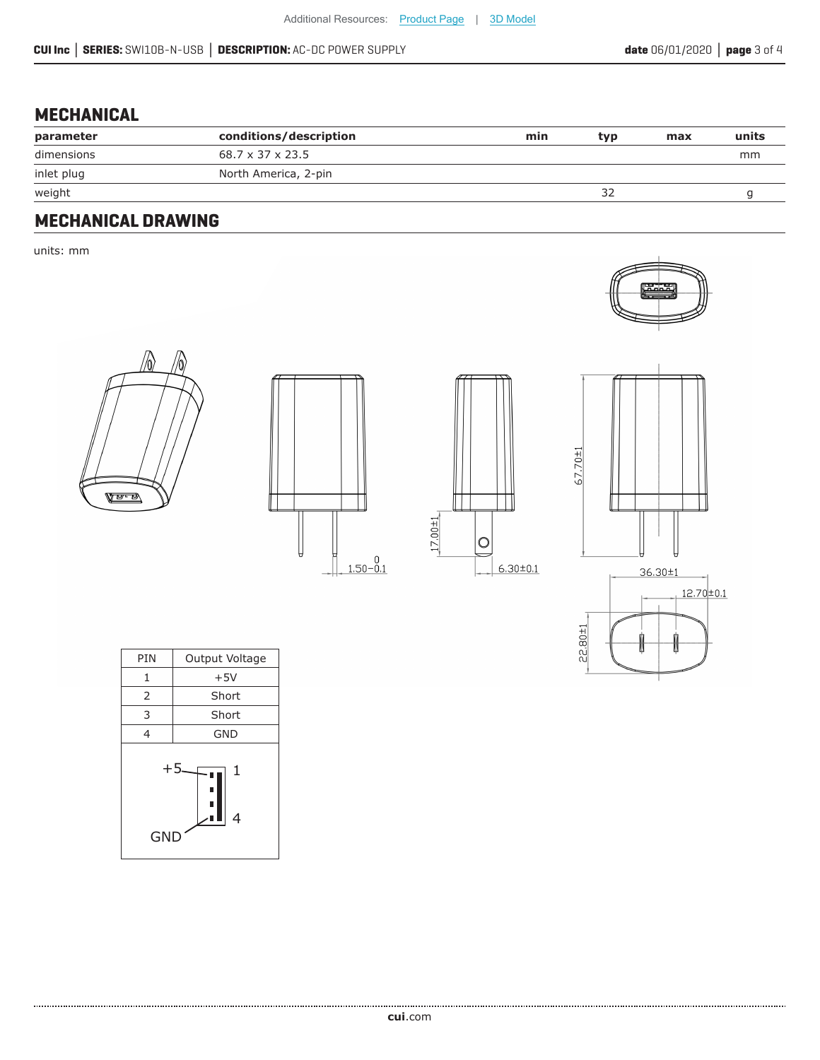# **MECHANICAL**

| conditions/description | min | typ | max | units |
|------------------------|-----|-----|-----|-------|
| 68.7 x 37 x 23.5       |     |     |     | mm    |
| North America, 2-pin   |     |     |     |       |
|                        |     | ے ر |     |       |
|                        |     |     |     |       |

### **MECHANICAL DRAWING**

units: mm











| PIN                        | Output Voltage |  |  |  |
|----------------------------|----------------|--|--|--|
| 1                          | $+5V$          |  |  |  |
| 2                          | Short          |  |  |  |
| 3                          | Short          |  |  |  |
| 4                          | <b>GND</b>     |  |  |  |
| $+5$<br>1<br>п<br>4<br>GND |                |  |  |  |